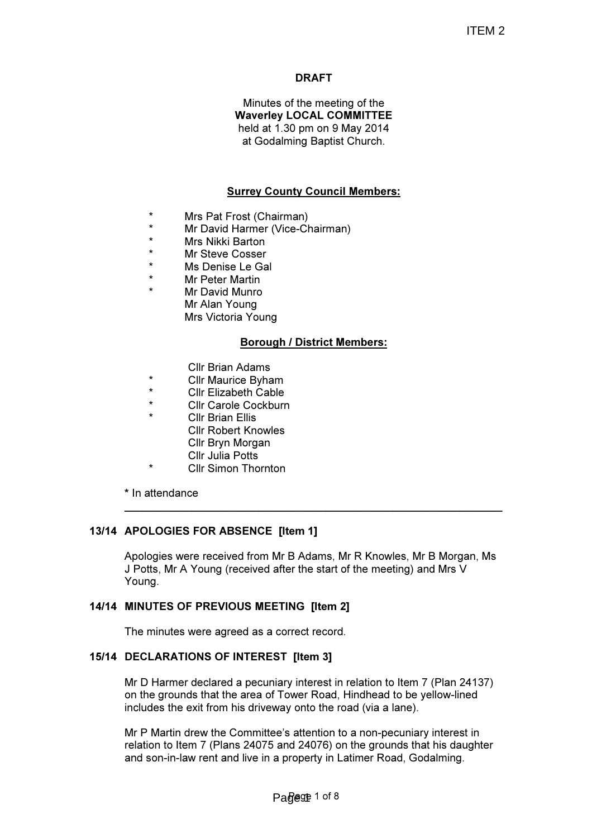# DRAFT

Minutes of the meeting of the Waverley LOCAL COMMITTEE held at 1.30 pm on 9 May 2014 at Godalming Baptist Church.

# Surrey County Council Members:

- \* Mrs Pat Frost (Chairman)
- \* Mr David Harmer (Vice-Chairman)
- \* Mrs Nikki Barton
- \* Mr Steve Cosser<br>\* Ms Denise Le Ga
- \* Ms Denise Le Gal
- **Mr Peter Martin**
- Mr David Munro Mr Alan Young Mrs Victoria Young

## Borough / District Members:

- **Cllr Brian Adams**<br>Cllr Maurice Byba
- \* Cllr Maurice Byham
- \* Cllr Elizabeth Cable
- Cllr Carole Cockburn
- Cllr Brian Fllis
	- Cllr Robert Knowles
	- Cllr Bryn Morgan
	- Cllr Julia Potts
- **Cllr Simon Thornton**

\* In attendance

## 13/14 APOLOGIES FOR ABSENCE [Item 1]

Apologies were received from Mr B Adams, Mr R Knowles, Mr B Morgan, Ms J Potts, Mr A Young (received after the start of the meeting) and Mrs V Young.

 $\_$  , and the set of the set of the set of the set of the set of the set of the set of the set of the set of the set of the set of the set of the set of the set of the set of the set of the set of the set of the set of th

## 14/14 MINUTES OF PREVIOUS MEETING [Item 2]

The minutes were agreed as a correct record.

## 15/14 DECLARATIONS OF INTEREST [Item 3]

Mr D Harmer declared a pecuniary interest in relation to Item 7 (Plan 24137) on the grounds that the area of Tower Road, Hindhead to be yellow-lined includes the exit from his driveway onto the road (via a lane).

Mr P Martin drew the Committee's attention to a non-pecuniary interest in relation to Item 7 (Plans 24075 and 24076) on the grounds that his daughter and son-in-law rent and live in a property in Latimer Road, Godalming.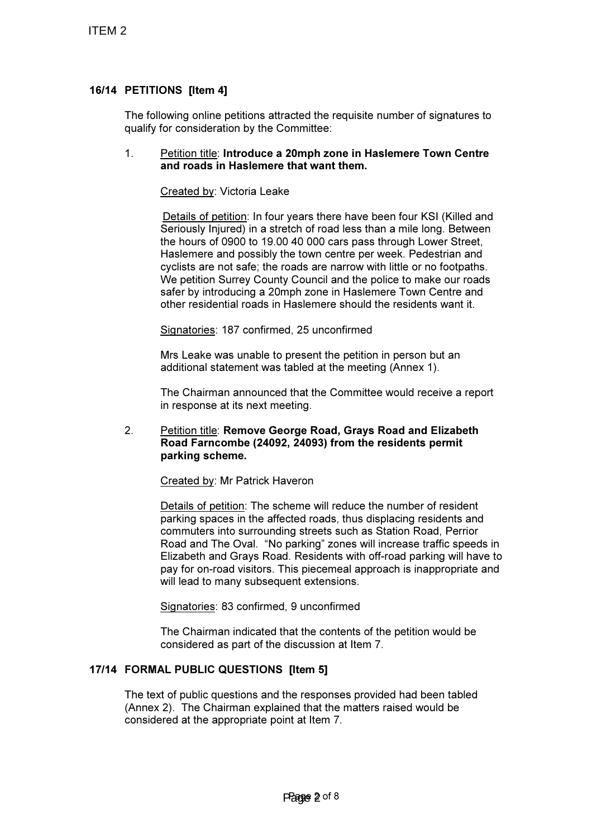# 16/14 PETITIONS [Item 4]

The following online petitions attracted the requisite number of signatures to qualify for consideration by the Committee:

### 1. Petition title: Introduce a 20mph zone in Haslemere Town Centre and roads in Haslemere that want them.

Created by: Victoria Leake

Details of petition: In four years there have been four KSI (Killed and Seriously Injured) in a stretch of road less than a mile long. Between the hours of 0900 to 19.00 40 000 cars pass through Lower Street, Haslemere and possibly the town centre per week. Pedestrian and cyclists are not safe; the roads are narrow with little or no footpaths. We petition Surrey County Council and the police to make our roads safer by introducing a 20mph zone in Haslemere Town Centre and other residential roads in Haslemere should the residents want it.

Signatories: 187 confirmed, 25 unconfirmed

Mrs Leake was unable to present the petition in person but an additional statement was tabled at the meeting (Annex 1).

The Chairman announced that the Committee would receive a report in response at its next meeting.

## 2. Petition title: Remove George Road, Grays Road and Elizabeth Road Farncombe (24092, 24093) from the residents permit parking scheme.

Created by: Mr Patrick Haveron

Details of petition: The scheme will reduce the number of resident parking spaces in the affected roads, thus displacing residents and commuters into surrounding streets such as Station Road, Perrior Road and The Oval. "No parking" zones will increase traffic speeds in Elizabeth and Grays Road. Residents with off-road parking will have to pay for on-road visitors. This piecemeal approach is inappropriate and will lead to many subsequent extensions.

Signatories: 83 confirmed, 9 unconfirmed

The Chairman indicated that the contents of the petition would be considered as part of the discussion at Item 7.

## 17/14 FORMAL PUBLIC QUESTIONS [Item 5]

The text of public questions and the responses provided had been tabled (Annex 2). The Chairman explained that the matters raised would be considered at the appropriate point at Item 7.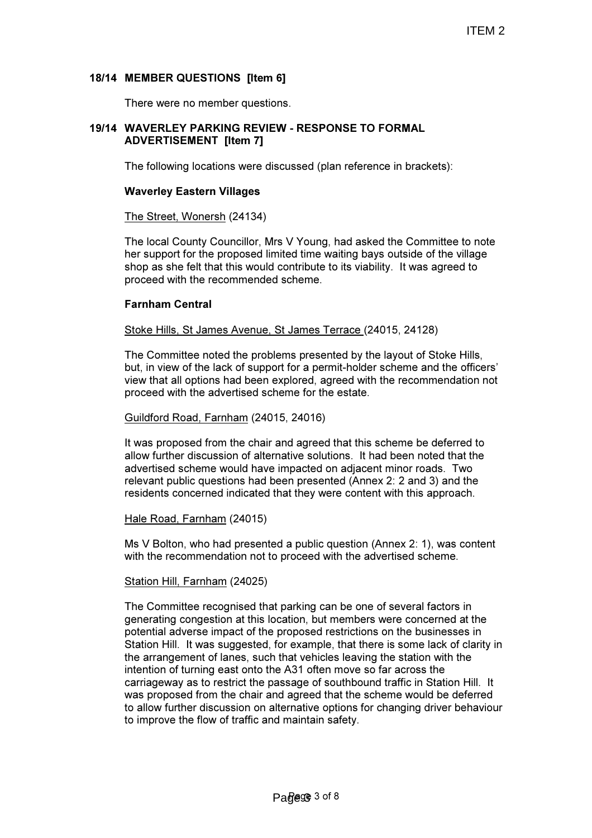## 18/14 MEMBER QUESTIONS [Item 6]

There were no member questions.

### 19/14 WAVERLEY PARKING REVIEW - RESPONSE TO FORMAL ADVERTISEMENT [Item 7]

The following locations were discussed (plan reference in brackets):

### Waverley Eastern Villages

#### The Street, Wonersh (24134)

The local County Councillor, Mrs V Young, had asked the Committee to note her support for the proposed limited time waiting bays outside of the village shop as she felt that this would contribute to its viability. It was agreed to proceed with the recommended scheme.

### Farnham Central

#### Stoke Hills, St James Avenue, St James Terrace (24015, 24128)

The Committee noted the problems presented by the layout of Stoke Hills, but, in view of the lack of support for a permit-holder scheme and the officers' view that all options had been explored, agreed with the recommendation not proceed with the advertised scheme for the estate.

#### Guildford Road, Farnham (24015, 24016)

It was proposed from the chair and agreed that this scheme be deferred to allow further discussion of alternative solutions. It had been noted that the advertised scheme would have impacted on adjacent minor roads. Two relevant public questions had been presented (Annex 2: 2 and 3) and the residents concerned indicated that they were content with this approach.

#### Hale Road, Farnham (24015)

Ms V Bolton, who had presented a public question (Annex 2: 1), was content with the recommendation not to proceed with the advertised scheme.

#### Station Hill, Farnham (24025)

The Committee recognised that parking can be one of several factors in generating congestion at this location, but members were concerned at the potential adverse impact of the proposed restrictions on the businesses in Station Hill. It was suggested, for example, that there is some lack of clarity in the arrangement of lanes, such that vehicles leaving the station with the intention of turning east onto the A31 often move so far across the carriageway as to restrict the passage of southbound traffic in Station Hill. It was proposed from the chair and agreed that the scheme would be deferred to allow further discussion on alternative options for changing driver behaviour to improve the flow of traffic and maintain safety.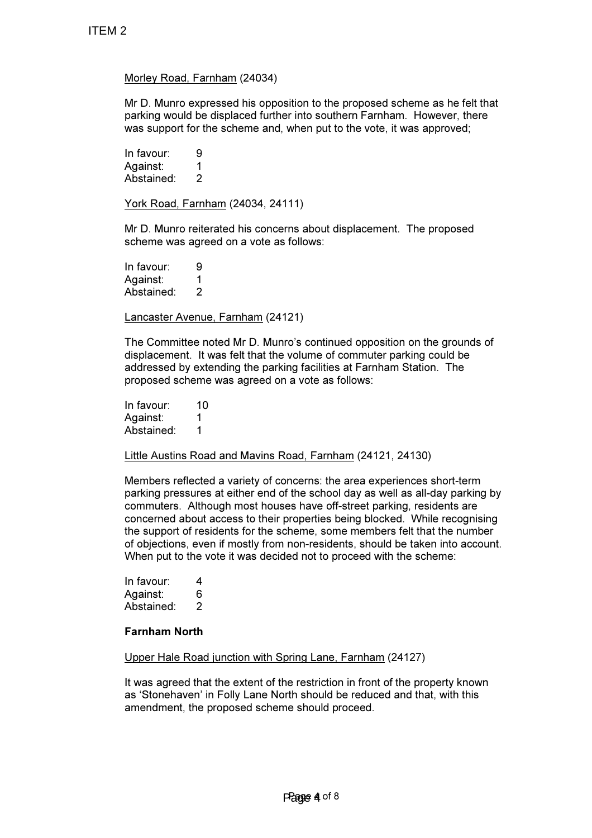## Morley Road, Farnham (24034)

Mr D. Munro expressed his opposition to the proposed scheme as he felt that parking would be displaced further into southern Farnham. However, there was support for the scheme and, when put to the vote, it was approved;

In favour: 9 Against: 1 Abstained: 2

York Road, Farnham (24034, 24111)

Mr D. Munro reiterated his concerns about displacement. The proposed scheme was agreed on a vote as follows:

In favour: 9 Against: 1 Abstained: 2

Lancaster Avenue, Farnham (24121)

The Committee noted Mr D. Munro's continued opposition on the grounds of displacement. It was felt that the volume of commuter parking could be addressed by extending the parking facilities at Farnham Station. The proposed scheme was agreed on a vote as follows:

In favour: 10 Against: 1 Abstained: 1

Little Austins Road and Mavins Road, Farnham (24121, 24130)

Members reflected a variety of concerns: the area experiences short-term parking pressures at either end of the school day as well as all-day parking by commuters. Although most houses have off-street parking, residents are concerned about access to their properties being blocked. While recognising the support of residents for the scheme, some members felt that the number of objections, even if mostly from non-residents, should be taken into account. When put to the vote it was decided not to proceed with the scheme:

In favour: 4 Against: 6 Abstained: 2

### Farnham North

Upper Hale Road junction with Spring Lane, Farnham (24127)

It was agreed that the extent of the restriction in front of the property known as 'Stonehaven' in Folly Lane North should be reduced and that, with this amendment, the proposed scheme should proceed.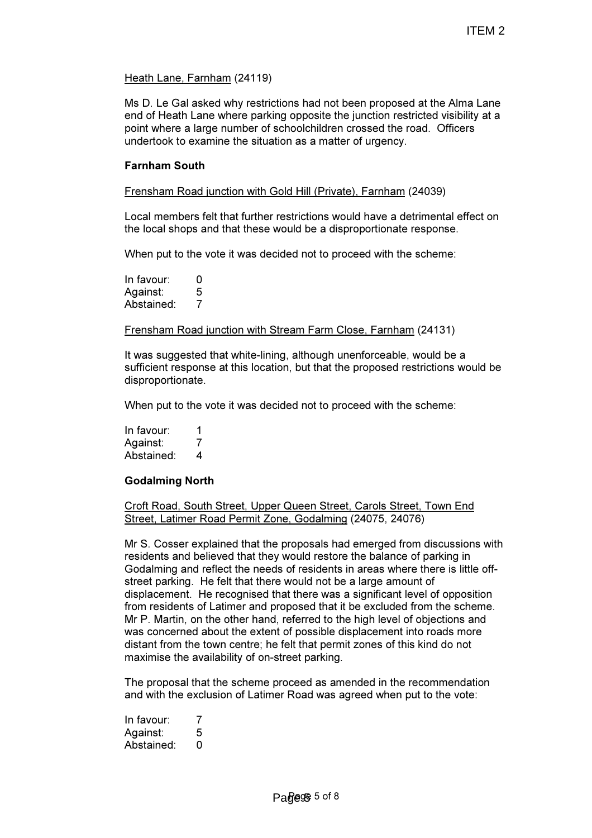## Heath Lane, Farnham (24119)

Ms D. Le Gal asked why restrictions had not been proposed at the Alma Lane end of Heath Lane where parking opposite the junction restricted visibility at a point where a large number of schoolchildren crossed the road. Officers undertook to examine the situation as a matter of urgency.

## Farnham South

Frensham Road junction with Gold Hill (Private), Farnham (24039)

Local members felt that further restrictions would have a detrimental effect on the local shops and that these would be a disproportionate response.

When put to the vote it was decided not to proceed with the scheme:

In favour: 0 Against: 5<br>Abstained: 7 Abstained:

## Frensham Road junction with Stream Farm Close, Farnham (24131)

It was suggested that white-lining, although unenforceable, would be a sufficient response at this location, but that the proposed restrictions would be disproportionate.

When put to the vote it was decided not to proceed with the scheme:

In favour: 1<br>Against: 2 Against: Abstained: 4

## Godalming North

Croft Road, South Street, Upper Queen Street, Carols Street, Town End Street, Latimer Road Permit Zone, Godalming (24075, 24076)

Mr S. Cosser explained that the proposals had emerged from discussions with residents and believed that they would restore the balance of parking in Godalming and reflect the needs of residents in areas where there is little offstreet parking. He felt that there would not be a large amount of displacement. He recognised that there was a significant level of opposition from residents of Latimer and proposed that it be excluded from the scheme. Mr P. Martin, on the other hand, referred to the high level of objections and was concerned about the extent of possible displacement into roads more distant from the town centre; he felt that permit zones of this kind do not maximise the availability of on-street parking.

The proposal that the scheme proceed as amended in the recommendation and with the exclusion of Latimer Road was agreed when put to the vote:

In favour: 7 Against: 5 Abstained: 0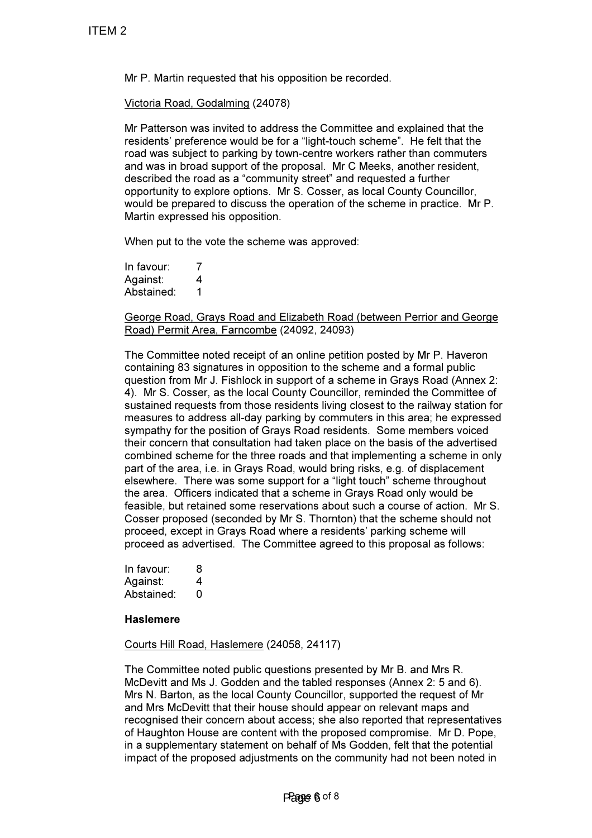Mr P. Martin requested that his opposition be recorded.

Victoria Road, Godalming (24078)

Mr Patterson was invited to address the Committee and explained that the residents' preference would be for a "light-touch scheme". He felt that the road was subject to parking by town-centre workers rather than commuters and was in broad support of the proposal. Mr C Meeks, another resident, described the road as a "community street" and requested a further opportunity to explore options. Mr S. Cosser, as local County Councillor, would be prepared to discuss the operation of the scheme in practice. Mr P. Martin expressed his opposition.

When put to the vote the scheme was approved:

In favour: 7 Against: 4 Abstained: 1

George Road, Grays Road and Elizabeth Road (between Perrior and George Road) Permit Area, Farncombe (24092, 24093)

The Committee noted receipt of an online petition posted by Mr P. Haveron containing 83 signatures in opposition to the scheme and a formal public question from Mr J. Fishlock in support of a scheme in Grays Road (Annex 2: 4). Mr S. Cosser, as the local County Councillor, reminded the Committee of sustained requests from those residents living closest to the railway station for measures to address all-day parking by commuters in this area; he expressed sympathy for the position of Grays Road residents. Some members voiced their concern that consultation had taken place on the basis of the advertised combined scheme for the three roads and that implementing a scheme in only part of the area, i.e. in Grays Road, would bring risks, e.g. of displacement elsewhere. There was some support for a "light touch" scheme throughout the area. Officers indicated that a scheme in Grays Road only would be feasible, but retained some reservations about such a course of action. Mr S. Cosser proposed (seconded by Mr S. Thornton) that the scheme should not proceed, except in Grays Road where a residents' parking scheme will proceed as advertised. The Committee agreed to this proposal as follows:

| In favour: | 8 |
|------------|---|
| Against:   | 4 |
| Abstained: | O |

### **Haslemere**

Courts Hill Road, Haslemere (24058, 24117)

The Committee noted public questions presented by Mr B. and Mrs R. McDevitt and Ms J. Godden and the tabled responses (Annex 2: 5 and 6). Mrs N. Barton, as the local County Councillor, supported the request of Mr and Mrs McDevitt that their house should appear on relevant maps and recognised their concern about access; she also reported that representatives of Haughton House are content with the proposed compromise. Mr D. Pope, in a supplementary statement on behalf of Ms Godden, felt that the potential impact of the proposed adjustments on the community had not been noted in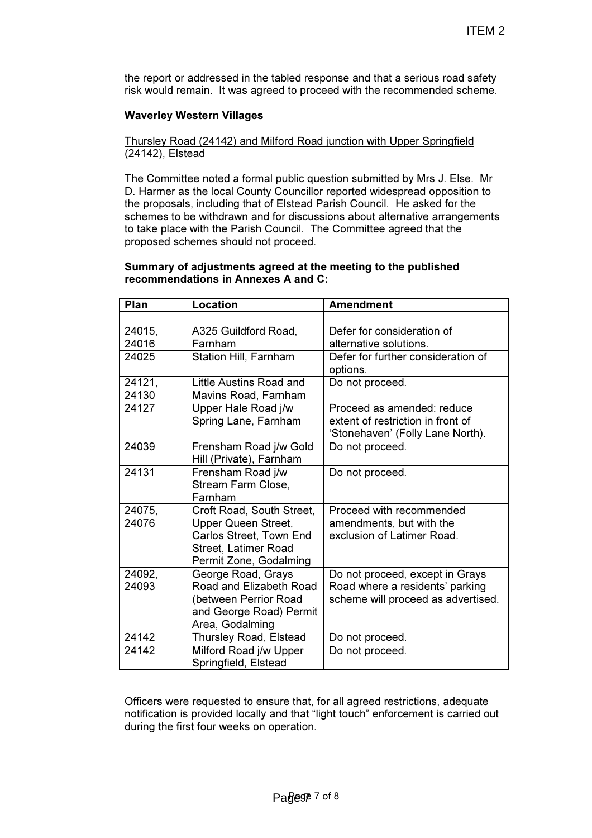the report or addressed in the tabled response and that a serious road safety risk would remain. It was agreed to proceed with the recommended scheme.

## Waverley Western Villages

## Thursley Road (24142) and Milford Road junction with Upper Springfield (24142), Elstead

The Committee noted a formal public question submitted by Mrs J. Else. Mr D. Harmer as the local County Councillor reported widespread opposition to the proposals, including that of Elstead Parish Council. He asked for the schemes to be withdrawn and for discussions about alternative arrangements to take place with the Parish Council. The Committee agreed that the proposed schemes should not proceed.

### Summary of adjustments agreed at the meeting to the published recommendations in Annexes A and C:

| Plan            | Location                                                                                                                      | <b>Amendment</b>                                                                                         |
|-----------------|-------------------------------------------------------------------------------------------------------------------------------|----------------------------------------------------------------------------------------------------------|
|                 |                                                                                                                               |                                                                                                          |
| 24015.          | A325 Guildford Road,                                                                                                          | Defer for consideration of                                                                               |
| 24016           | Farnham                                                                                                                       | alternative solutions.                                                                                   |
| 24025           | Station Hill, Farnham                                                                                                         | Defer for further consideration of<br>options.                                                           |
| 24121,          | Little Austins Road and                                                                                                       | Do not proceed.                                                                                          |
| 24130           | Mavins Road, Farnham                                                                                                          |                                                                                                          |
| 24127           | Upper Hale Road j/w<br>Spring Lane, Farnham                                                                                   | Proceed as amended: reduce<br>extent of restriction in front of<br>'Stonehaven' (Folly Lane North).      |
| 24039           | Frensham Road j/w Gold<br>Hill (Private), Farnham                                                                             | Do not proceed.                                                                                          |
| 24131           | Frensham Road j/w<br>Stream Farm Close,<br>Farnham                                                                            | Do not proceed.                                                                                          |
| 24075.<br>24076 | Croft Road, South Street,<br>Upper Queen Street,<br>Carlos Street, Town End<br>Street, Latimer Road<br>Permit Zone, Godalming | Proceed with recommended<br>amendments, but with the<br>exclusion of Latimer Road.                       |
| 24092,<br>24093 | George Road, Grays<br>Road and Elizabeth Road<br>(between Perrior Road<br>and George Road) Permit<br>Area, Godalming          | Do not proceed, except in Grays<br>Road where a residents' parking<br>scheme will proceed as advertised. |
| 24142           | Thursley Road, Elstead                                                                                                        | Do not proceed.                                                                                          |
| 24142           | Milford Road j/w Upper<br>Springfield, Elstead                                                                                | Do not proceed.                                                                                          |

Officers were requested to ensure that, for all agreed restrictions, adequate notification is provided locally and that "light touch" enforcement is carried out during the first four weeks on operation.